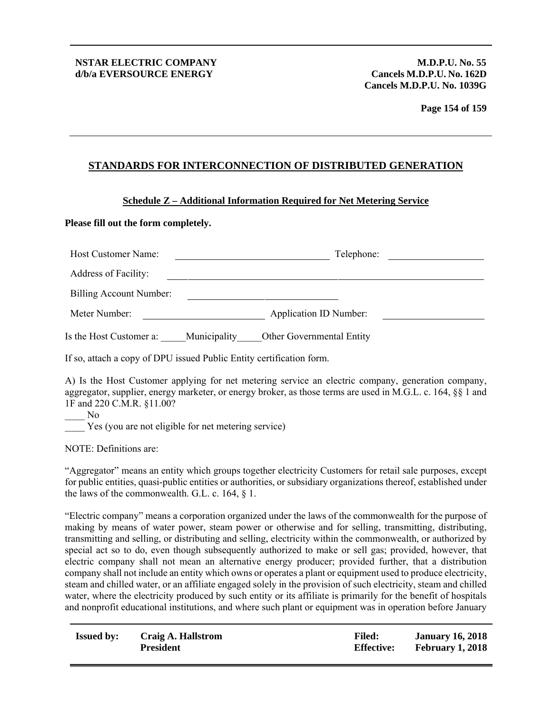**Page 154 of 159**

## **STANDARDS FOR INTERCONNECTION OF DISTRIBUTED GENERATION**

#### **Schedule Z – Additional Information Required for Net Metering Service**

#### **Please fill out the form completely.**

| Host Customer Name:     |              | Telephone:                    |  |
|-------------------------|--------------|-------------------------------|--|
| Address of Facility:    |              |                               |  |
| Billing Account Number: |              |                               |  |
| Meter Number:           |              | <b>Application ID Number:</b> |  |
| Is the Host Customer a: | Municipality | Other Governmental Entity     |  |

If so, attach a copy of DPU issued Public Entity certification form.

A) Is the Host Customer applying for net metering service an electric company, generation company, aggregator, supplier, energy marketer, or energy broker, as those terms are used in M.G.L. c. 164, §§ 1 and 1F and 220 C.M.R. §11.00?

 $\overline{N}$ Yes (you are not eligible for net metering service)

NOTE: Definitions are:

"Aggregator" means an entity which groups together electricity Customers for retail sale purposes, except for public entities, quasi-public entities or authorities, or subsidiary organizations thereof, established under the laws of the commonwealth. G.L. c. 164, § 1.

"Electric company" means a corporation organized under the laws of the commonwealth for the purpose of making by means of water power, steam power or otherwise and for selling, transmitting, distributing, transmitting and selling, or distributing and selling, electricity within the commonwealth, or authorized by special act so to do, even though subsequently authorized to make or sell gas; provided, however, that electric company shall not mean an alternative energy producer; provided further, that a distribution company shall not include an entity which owns or operates a plant or equipment used to produce electricity, steam and chilled water, or an affiliate engaged solely in the provision of such electricity, steam and chilled water, where the electricity produced by such entity or its affiliate is primarily for the benefit of hospitals and nonprofit educational institutions, and where such plant or equipment was in operation before January

| <b>Issued by:</b> | Craig A. Hallstrom | <b>Filed:</b>     | <b>January 16, 2018</b> |
|-------------------|--------------------|-------------------|-------------------------|
|                   | <b>President</b>   | <b>Effective:</b> | <b>February 1, 2018</b> |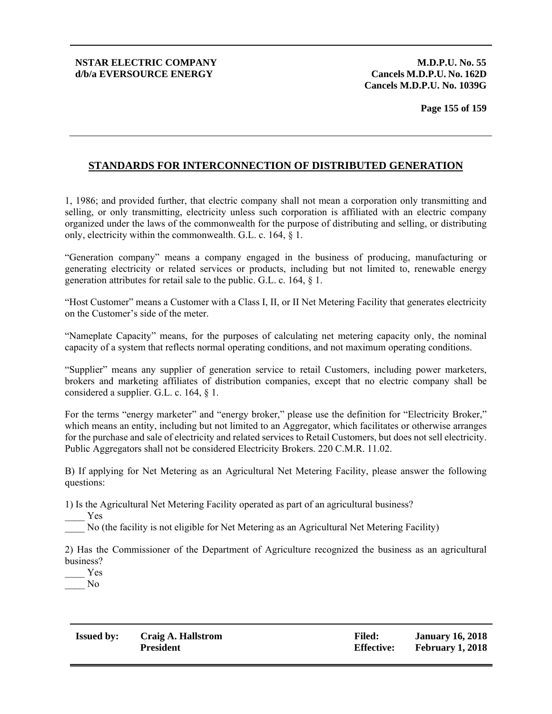**Cancels M.D.P.U. No. 1039G** 

## **STANDARDS FOR INTERCONNECTION OF DISTRIBUTED GENERATION**

1, 1986; and provided further, that electric company shall not mean a corporation only transmitting and selling, or only transmitting, electricity unless such corporation is affiliated with an electric company organized under the laws of the commonwealth for the purpose of distributing and selling, or distributing only, electricity within the commonwealth. G.L. c. 164, § 1.

"Generation company" means a company engaged in the business of producing, manufacturing or generating electricity or related services or products, including but not limited to, renewable energy generation attributes for retail sale to the public. G.L. c. 164, § 1.

"Host Customer" means a Customer with a Class I, II, or II Net Metering Facility that generates electricity on the Customer's side of the meter.

"Nameplate Capacity" means, for the purposes of calculating net metering capacity only, the nominal capacity of a system that reflects normal operating conditions, and not maximum operating conditions.

"Supplier" means any supplier of generation service to retail Customers, including power marketers, brokers and marketing affiliates of distribution companies, except that no electric company shall be considered a supplier. G.L. c. 164, § 1.

For the terms "energy marketer" and "energy broker," please use the definition for "Electricity Broker," which means an entity, including but not limited to an Aggregator, which facilitates or otherwise arranges for the purchase and sale of electricity and related services to Retail Customers, but does not sell electricity. Public Aggregators shall not be considered Electricity Brokers. 220 C.M.R. 11.02.

B) If applying for Net Metering as an Agricultural Net Metering Facility, please answer the following questions:

1) Is the Agricultural Net Metering Facility operated as part of an agricultural business?

\_\_\_\_ Yes

\_\_\_\_ No (the facility is not eligible for Net Metering as an Agricultural Net Metering Facility)

2) Has the Commissioner of the Department of Agriculture recognized the business as an agricultural business?

\_\_\_\_ Yes \_\_\_\_ No

| <b>Issued by:</b> | Craig A. Hallstrom |
|-------------------|--------------------|
|                   | <b>President</b>   |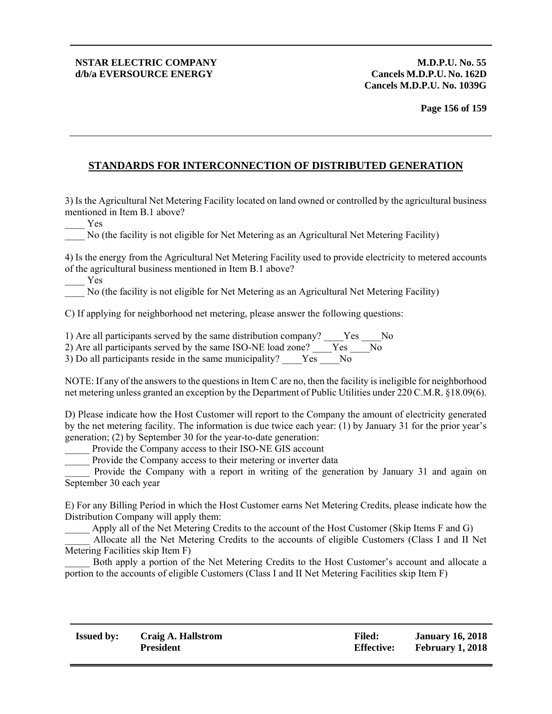**Cancels M.D.P.U. No. 1039G** 

## **STANDARDS FOR INTERCONNECTION OF DISTRIBUTED GENERATION**

3) Is the Agricultural Net Metering Facility located on land owned or controlled by the agricultural business mentioned in Item B.1 above?

\_\_\_\_ Yes

\_\_\_\_ No (the facility is not eligible for Net Metering as an Agricultural Net Metering Facility)

4) Is the energy from the Agricultural Net Metering Facility used to provide electricity to metered accounts of the agricultural business mentioned in Item B.1 above?

\_\_\_\_ Yes

\_\_\_\_ No (the facility is not eligible for Net Metering as an Agricultural Net Metering Facility)

C) If applying for neighborhood net metering, please answer the following questions:

1) Are all participants served by the same distribution company? \_\_\_\_Yes \_\_\_\_No

2) Are all participants served by the same ISO-NE load zone?  $\frac{V}{V}$   $\frac{V}{V}$   $\frac{V}{V}$ 

3) Do all participants reside in the same municipality?  $Y \stackrel{\frown}{\text{es}}$  No

NOTE: If any of the answers to the questions in Item C are no, then the facility is ineligible for neighborhood net metering unless granted an exception by the Department of Public Utilities under 220 C.M.R. §18.09(6).

D) Please indicate how the Host Customer will report to the Company the amount of electricity generated by the net metering facility. The information is due twice each year: (1) by January 31 for the prior year's generation; (2) by September 30 for the year-to-date generation:

Provide the Company access to their ISO-NE GIS account

Provide the Company access to their metering or inverter data

Provide the Company with a report in writing of the generation by January 31 and again on September 30 each year

E) For any Billing Period in which the Host Customer earns Net Metering Credits, please indicate how the Distribution Company will apply them:

\_\_\_\_\_ Apply all of the Net Metering Credits to the account of the Host Customer (Skip Items F and G)

\_\_\_\_\_ Allocate all the Net Metering Credits to the accounts of eligible Customers (Class I and II Net Metering Facilities skip Item F)

Both apply a portion of the Net Metering Credits to the Host Customer's account and allocate a portion to the accounts of eligible Customers (Class I and II Net Metering Facilities skip Item F)

| <b>Issued by:</b> | Craig A. Hallstrom | <b>Filed:</b>     | <b>January 16, 2018</b> |
|-------------------|--------------------|-------------------|-------------------------|
|                   | <b>President</b>   | <b>Effective:</b> | <b>February 1, 2018</b> |
|                   |                    |                   |                         |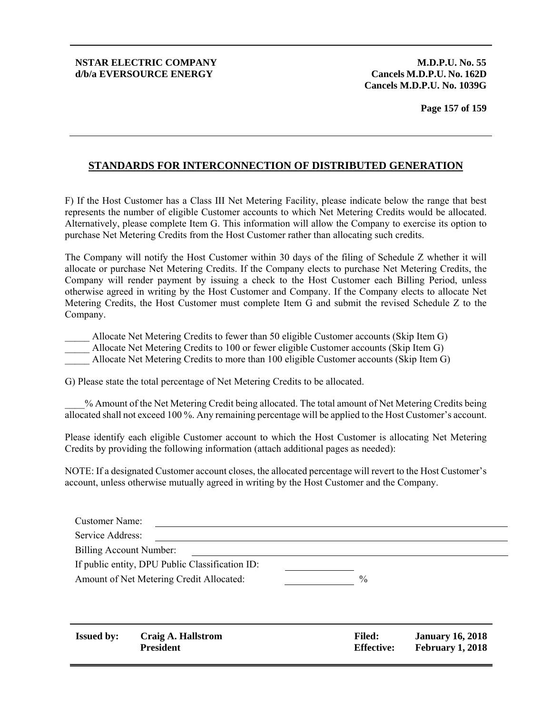**Cancels M.D.P.U. No. 1039G** 

**Page 157 of 159**

## **STANDARDS FOR INTERCONNECTION OF DISTRIBUTED GENERATION**

F) If the Host Customer has a Class III Net Metering Facility, please indicate below the range that best represents the number of eligible Customer accounts to which Net Metering Credits would be allocated. Alternatively, please complete Item G. This information will allow the Company to exercise its option to purchase Net Metering Credits from the Host Customer rather than allocating such credits.

The Company will notify the Host Customer within 30 days of the filing of Schedule Z whether it will allocate or purchase Net Metering Credits. If the Company elects to purchase Net Metering Credits, the Company will render payment by issuing a check to the Host Customer each Billing Period, unless otherwise agreed in writing by the Host Customer and Company. If the Company elects to allocate Net Metering Credits, the Host Customer must complete Item G and submit the revised Schedule Z to the Company.

Allocate Net Metering Credits to fewer than 50 eligible Customer accounts (Skip Item G) Allocate Net Metering Credits to 100 or fewer eligible Customer accounts (Skip Item G) Allocate Net Metering Credits to more than 100 eligible Customer accounts (Skip Item G)

G) Please state the total percentage of Net Metering Credits to be allocated.

\_\_\_\_% Amount of the Net Metering Credit being allocated. The total amount of Net Metering Credits being allocated shall not exceed 100 %. Any remaining percentage will be applied to the Host Customer's account.

Please identify each eligible Customer account to which the Host Customer is allocating Net Metering Credits by providing the following information (attach additional pages as needed):

NOTE: If a designated Customer account closes, the allocated percentage will revert to the Host Customer's account, unless otherwise mutually agreed in writing by the Host Customer and the Company.

| Customer Name:                           |                                                 |                   |                         |
|------------------------------------------|-------------------------------------------------|-------------------|-------------------------|
| Service Address:                         |                                                 |                   |                         |
| Billing Account Number:                  |                                                 |                   |                         |
|                                          | If public entity, DPU Public Classification ID: |                   |                         |
| Amount of Net Metering Credit Allocated: |                                                 | $\%$              |                         |
|                                          |                                                 |                   |                         |
|                                          |                                                 |                   |                         |
|                                          |                                                 |                   |                         |
| <b>Issued by:</b>                        | Craig A. Hallstrom                              | <b>Filed:</b>     | <b>January 16, 2018</b> |
|                                          | <b>President</b>                                | <b>Effective:</b> | <b>February 1, 2018</b> |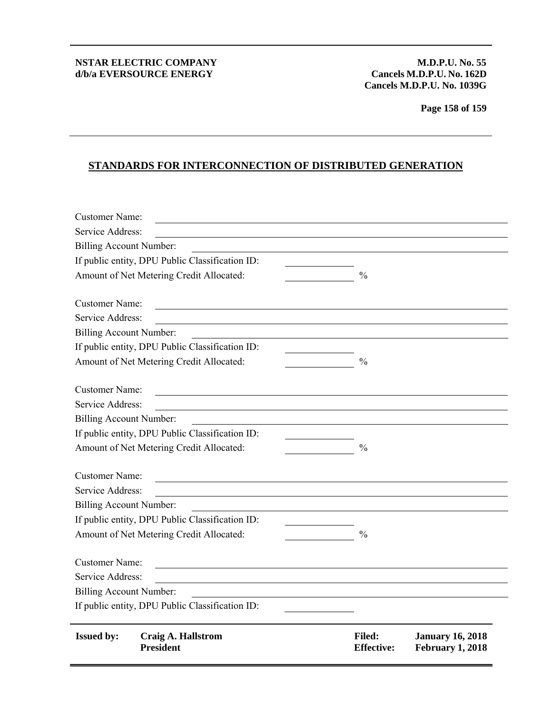**Cancels M.D.P.U. No. 1039G** 

**Page 158 of 159**

# **STANDARDS FOR INTERCONNECTION OF DISTRIBUTED GENERATION**

| <b>Customer Name:</b>                    |                                                       |                                    |                                             |
|------------------------------------------|-------------------------------------------------------|------------------------------------|---------------------------------------------|
| Service Address:                         |                                                       |                                    |                                             |
| <b>Billing Account Number:</b>           |                                                       |                                    |                                             |
|                                          | If public entity, DPU Public Classification ID:       |                                    |                                             |
|                                          | Amount of Net Metering Credit Allocated:              | $\frac{0}{0}$                      |                                             |
|                                          |                                                       |                                    |                                             |
| <b>Customer Name:</b>                    | <u> 1980 - Johann Stein, fransk politik (f. 1980)</u> |                                    |                                             |
| Service Address:                         |                                                       |                                    |                                             |
| <b>Billing Account Number:</b>           |                                                       |                                    |                                             |
|                                          | If public entity, DPU Public Classification ID:       |                                    |                                             |
|                                          | Amount of Net Metering Credit Allocated:              | $\frac{0}{0}$                      |                                             |
| <b>Customer Name:</b>                    |                                                       |                                    |                                             |
| Service Address:                         |                                                       |                                    |                                             |
| <b>Billing Account Number:</b>           |                                                       |                                    |                                             |
|                                          | If public entity, DPU Public Classification ID:       |                                    |                                             |
| Amount of Net Metering Credit Allocated: |                                                       | $\frac{0}{0}$                      |                                             |
|                                          |                                                       |                                    |                                             |
| <b>Customer Name:</b>                    |                                                       |                                    |                                             |
| Service Address:                         |                                                       |                                    |                                             |
| <b>Billing Account Number:</b>           |                                                       |                                    |                                             |
|                                          | If public entity, DPU Public Classification ID:       |                                    |                                             |
| Amount of Net Metering Credit Allocated: |                                                       | $\frac{0}{0}$                      |                                             |
| <b>Customer Name:</b>                    |                                                       |                                    |                                             |
| Service Address:                         |                                                       |                                    |                                             |
| <b>Billing Account Number:</b>           |                                                       |                                    |                                             |
|                                          | If public entity, DPU Public Classification ID:       |                                    |                                             |
|                                          |                                                       |                                    |                                             |
| <b>Issued by:</b>                        | <b>Craig A. Hallstrom</b><br><b>President</b>         | <b>Filed:</b><br><b>Effective:</b> | <b>January 16, 2018</b><br>February 1, 2018 |